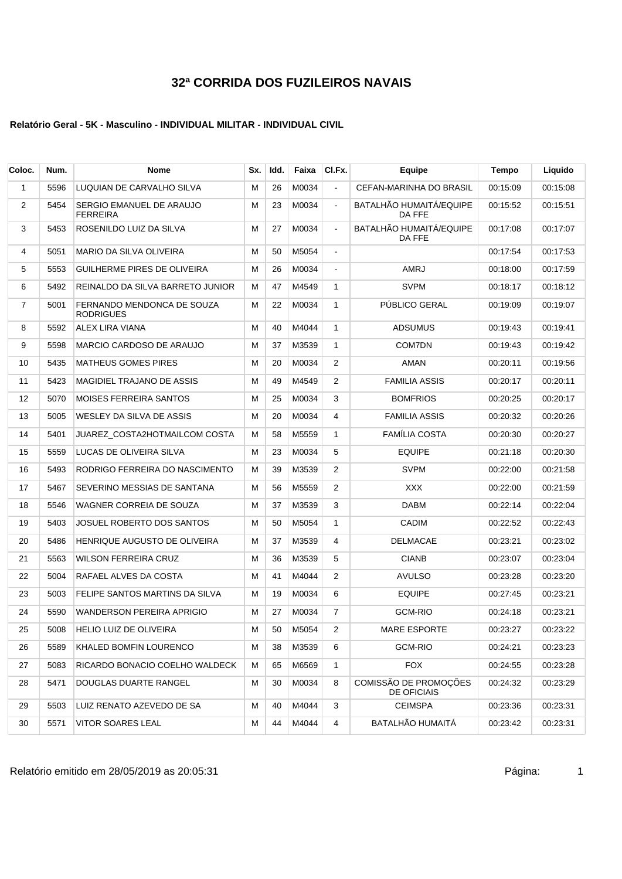### **Relatório Geral - 5K - Masculino - INDIVIDUAL MILITAR - INDIVIDUAL CIVIL**

| Coloc.       | Num. | <b>Nome</b>                                    | Sx. | Idd. | Faixa | CI.Fx.         | <b>Equipe</b>                        | <b>Tempo</b> | Liquido  |
|--------------|------|------------------------------------------------|-----|------|-------|----------------|--------------------------------------|--------------|----------|
| $\mathbf{1}$ | 5596 | LUQUIAN DE CARVALHO SILVA                      | м   | 26   | M0034 | $\blacksquare$ | CEFAN-MARINHA DO BRASIL              | 00:15:09     | 00:15:08 |
| 2            | 5454 | SERGIO EMANUEL DE ARAUJO<br><b>FERREIRA</b>    | М   | 23   | M0034 | $\blacksquare$ | BATALHÃO HUMAITÁ/EQUIPE<br>DA FFE    | 00:15:52     | 00:15:51 |
| 3            | 5453 | ROSENILDO LUIZ DA SILVA                        | м   | 27   | M0034 | $\blacksquare$ | BATALHÃO HUMAITÁ/EQUIPE<br>DA FFE    | 00:17:08     | 00:17:07 |
| 4            | 5051 | MARIO DA SILVA OLIVEIRA                        | м   | 50   | M5054 | $\blacksquare$ |                                      | 00:17:54     | 00:17:53 |
| 5            | 5553 | GUILHERME PIRES DE OLIVEIRA                    | м   | 26   | M0034 | $\blacksquare$ | <b>AMRJ</b>                          | 00:18:00     | 00:17:59 |
| 6            | 5492 | REINALDO DA SILVA BARRETO JUNIOR               | м   | 47   | M4549 | $\mathbf{1}$   | <b>SVPM</b>                          | 00:18:17     | 00:18:12 |
| 7            | 5001 | FERNANDO MENDONCA DE SOUZA<br><b>RODRIGUES</b> | м   | 22   | M0034 | $\mathbf{1}$   | PÚBLICO GERAL                        | 00:19:09     | 00:19:07 |
| 8            | 5592 | ALEX LIRA VIANA                                | м   | 40   | M4044 | $\mathbf{1}$   | <b>ADSUMUS</b>                       | 00:19:43     | 00:19:41 |
| 9            | 5598 | MARCIO CARDOSO DE ARAUJO                       | М   | 37   | M3539 | $\mathbf{1}$   | COM7DN                               | 00:19:43     | 00:19:42 |
| 10           | 5435 | <b>MATHEUS GOMES PIRES</b>                     | м   | 20   | M0034 | 2              | <b>AMAN</b>                          | 00:20:11     | 00:19:56 |
| 11           | 5423 | MAGIDIEL TRAJANO DE ASSIS                      | м   | 49   | M4549 | 2              | <b>FAMILIA ASSIS</b>                 | 00:20:17     | 00:20:11 |
| 12           | 5070 | <b>MOISES FERREIRA SANTOS</b>                  | м   | 25   | M0034 | 3              | <b>BOMFRIOS</b>                      | 00:20:25     | 00:20:17 |
| 13           | 5005 | WESLEY DA SILVA DE ASSIS                       | м   | 20   | M0034 | 4              | <b>FAMILIA ASSIS</b>                 | 00:20:32     | 00:20:26 |
| 14           | 5401 | JUAREZ_COSTA2HOTMAILCOM COSTA                  | Μ   | 58   | M5559 | $\mathbf{1}$   | <b>FAMÍLIA COSTA</b>                 | 00:20:30     | 00:20:27 |
| 15           | 5559 | LUCAS DE OLIVEIRA SILVA                        | м   | 23   | M0034 | 5              | <b>EQUIPE</b>                        | 00:21:18     | 00:20:30 |
| 16           | 5493 | RODRIGO FERREIRA DO NASCIMENTO                 | м   | 39   | M3539 | 2              | <b>SVPM</b>                          | 00:22:00     | 00:21:58 |
| 17           | 5467 | SEVERINO MESSIAS DE SANTANA                    | М   | 56   | M5559 | 2              | XXX                                  | 00:22:00     | 00:21:59 |
| 18           | 5546 | WAGNER CORREIA DE SOUZA                        | м   | 37   | M3539 | 3              | <b>DABM</b>                          | 00:22:14     | 00:22:04 |
| 19           | 5403 | JOSUEL ROBERTO DOS SANTOS                      | м   | 50   | M5054 | $\mathbf{1}$   | <b>CADIM</b>                         | 00:22:52     | 00:22:43 |
| 20           | 5486 | HENRIQUE AUGUSTO DE OLIVEIRA                   | м   | 37   | M3539 | 4              | DELMACAE                             | 00:23:21     | 00:23:02 |
| 21           | 5563 | WILSON FERREIRA CRUZ                           | м   | 36   | M3539 | 5              | <b>CIANB</b>                         | 00:23:07     | 00:23:04 |
| 22           | 5004 | RAFAEL ALVES DA COSTA                          | м   | 41   | M4044 | 2              | <b>AVULSO</b>                        | 00:23:28     | 00:23:20 |
| 23           | 5003 | FELIPE SANTOS MARTINS DA SILVA                 | м   | 19   | M0034 | 6              | <b>EQUIPE</b>                        | 00:27:45     | 00:23:21 |
| 24           | 5590 | <b>WANDERSON PEREIRA APRIGIO</b>               | м   | 27   | M0034 | $\overline{7}$ | <b>GCM-RIO</b>                       | 00:24:18     | 00:23:21 |
| 25           | 5008 | HELIO LUIZ DE OLIVEIRA                         | М   | 50   | M5054 | 2              | MARE ESPORTE                         | 00:23:27     | 00:23:22 |
| 26           | 5589 | KHALED BOMFIN LOURENCO                         | м   | 38   | M3539 | 6              | <b>GCM-RIO</b>                       | 00:24:21     | 00:23:23 |
| 27           | 5083 | RICARDO BONACIO COELHO WALDECK                 | М   | 65   | M6569 | $\mathbf{1}$   | <b>FOX</b>                           | 00:24:55     | 00:23:28 |
| 28           | 5471 | DOUGLAS DUARTE RANGEL                          | М   | 30   | M0034 | 8              | COMISSÃO DE PROMOÇÕES<br>DE OFICIAIS | 00:24:32     | 00:23:29 |
| 29           | 5503 | LUIZ RENATO AZEVEDO DE SA                      | м   | 40   | M4044 | 3              | <b>CEIMSPA</b>                       | 00:23:36     | 00:23:31 |
| 30           | 5571 | VITOR SOARES LEAL                              | м   | 44   | M4044 | 4              | BATALHÃO HUMAITÁ                     | 00:23:42     | 00:23:31 |

Relatório emitido em 28/05/2019 as 20:05:31 como establecidade en extraordinaria en el país en el país en el p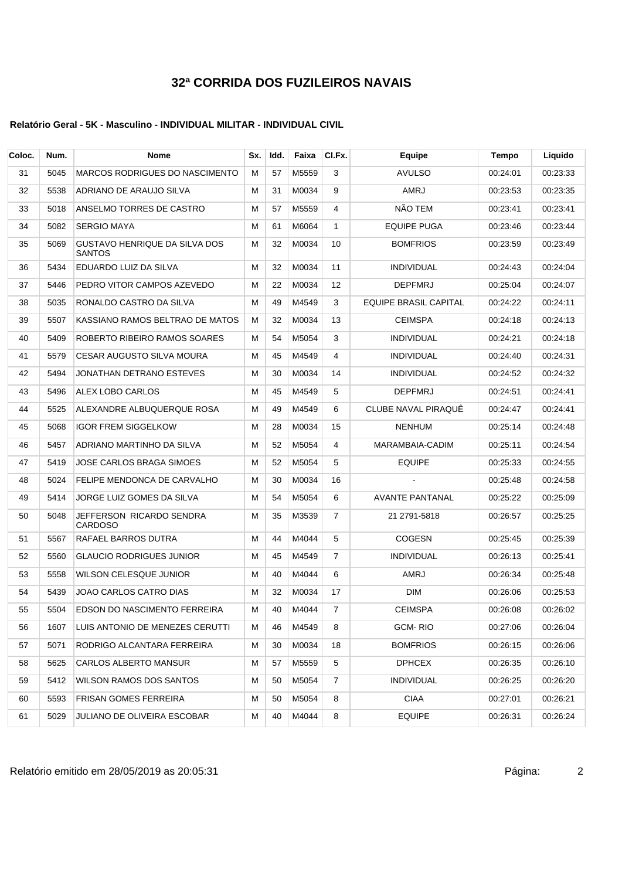### **Relatório Geral - 5K - Masculino - INDIVIDUAL MILITAR - INDIVIDUAL CIVIL**

| Coloc. | Num. | Nome                                           | Sx. | Idd. | Faixa | CI.Fx.         | Equipe                       | <b>Tempo</b> | Liquido  |
|--------|------|------------------------------------------------|-----|------|-------|----------------|------------------------------|--------------|----------|
| 31     | 5045 | <b>MARCOS RODRIGUES DO NASCIMENTO</b>          | М   | 57   | M5559 | 3              | <b>AVULSO</b>                | 00.24.01     | 00:23:33 |
| 32     | 5538 | ADRIANO DE ARAUJO SILVA                        | М   | 31   | M0034 | 9              | AMRJ                         | 00:23:53     | 00:23:35 |
| 33     | 5018 | ANSELMO TORRES DE CASTRO                       | M   | 57   | M5559 | 4              | NÃO TEM                      | 00:23:41     | 00:23:41 |
| 34     | 5082 | <b>SERGIO MAYA</b>                             | м   | 61   | M6064 | $\mathbf{1}$   | <b>EQUIPE PUGA</b>           | 00:23:46     | 00:23:44 |
| 35     | 5069 | GUSTAVO HENRIQUE DA SILVA DOS<br><b>SANTOS</b> | М   | 32   | M0034 | 10             | <b>BOMFRIOS</b>              | 00:23:59     | 00:23:49 |
| 36     | 5434 | EDUARDO LUIZ DA SILVA                          | М   | 32   | M0034 | 11             | <b>INDIVIDUAL</b>            | 00:24:43     | 00:24:04 |
| 37     | 5446 | PEDRO VITOR CAMPOS AZEVEDO                     | М   | 22   | M0034 | 12             | <b>DEPFMRJ</b>               | 00:25:04     | 00:24:07 |
| 38     | 5035 | RONALDO CASTRO DA SILVA                        | М   | 49   | M4549 | 3              | <b>EQUIPE BRASIL CAPITAL</b> | 00:24:22     | 00:24:11 |
| 39     | 5507 | KASSIANO RAMOS BELTRAO DE MATOS                | м   | 32   | M0034 | 13             | <b>CEIMSPA</b>               | 00:24:18     | 00:24:13 |
| 40     | 5409 | ROBERTO RIBEIRO RAMOS SOARES                   | м   | 54   | M5054 | 3              | <b>INDIVIDUAL</b>            | 00:24:21     | 00:24:18 |
| 41     | 5579 | <b>CESAR AUGUSTO SILVA MOURA</b>               | M   | 45   | M4549 | 4              | <b>INDIVIDUAL</b>            | 00:24:40     | 00:24:31 |
| 42     | 5494 | JONATHAN DETRANO ESTEVES                       | М   | 30   | M0034 | 14             | <b>INDIVIDUAL</b>            | 00:24:52     | 00:24:32 |
| 43     | 5496 | ALEX LOBO CARLOS                               | М   | 45   | M4549 | 5              | <b>DEPFMRJ</b>               | 00:24:51     | 00.24.41 |
| 44     | 5525 | ALEXANDRE ALBUQUERQUE ROSA                     | м   | 49   | M4549 | 6              | CLUBE NAVAL PIRAQUÊ          | 00:24:47     | 00:24:41 |
| 45     | 5068 | <b>IGOR FREM SIGGELKOW</b>                     | М   | 28   | M0034 | 15             | <b>NENHUM</b>                | 00:25:14     | 00:24:48 |
| 46     | 5457 | ADRIANO MARTINHO DA SILVA                      | м   | 52   | M5054 | 4              | MARAMBAIA-CADIM              | 00:25:11     | 00:24:54 |
| 47     | 5419 | JOSE CARLOS BRAGA SIMOES                       | M   | 52   | M5054 | 5              | <b>EQUIPE</b>                | 00:25:33     | 00:24:55 |
| 48     | 5024 | FELIPE MENDONCA DE CARVALHO                    | М   | 30   | M0034 | 16             |                              | 00:25:48     | 00:24:58 |
| 49     | 5414 | JORGE LUIZ GOMES DA SILVA                      | М   | 54   | M5054 | 6              | <b>AVANTE PANTANAL</b>       | 00:25:22     | 00:25:09 |
| 50     | 5048 | JEFFERSON RICARDO SENDRA<br><b>CARDOSO</b>     | М   | 35   | M3539 | 7              | 21 2791-5818                 | 00:26:57     | 00:25:25 |
| 51     | 5567 | RAFAEL BARROS DUTRA                            | М   | 44   | M4044 | 5              | <b>COGESN</b>                | 00:25:45     | 00:25:39 |
| 52     | 5560 | <b>GLAUCIO RODRIGUES JUNIOR</b>                | М   | 45   | M4549 | $\overline{7}$ | <b>INDIVIDUAL</b>            | 00:26:13     | 00.25.41 |
| 53     | 5558 | WILSON CELESQUE JUNIOR                         | М   | 40   | M4044 | 6              | AMRJ                         | 00:26:34     | 00:25:48 |
| 54     | 5439 | JOAO CARLOS CATRO DIAS                         | М   | 32   | M0034 | 17             | <b>DIM</b>                   | 00:26:06     | 00:25:53 |
| 55     | 5504 | EDSON DO NASCIMENTO FERREIRA                   | M   | 40   | M4044 | $\overline{7}$ | <b>CEIMSPA</b>               | 00:26:08     | 00:26:02 |
| 56     | 1607 | LUIS ANTONIO DE MENEZES CERUTTI                | м   | 46   | M4549 | 8              | <b>GCM-RIO</b>               | 00:27:06     | 00:26:04 |
| 57     | 5071 | RODRIGO ALCANTARA FERREIRA                     | M   | 30   | M0034 | 18             | <b>BOMFRIOS</b>              | 00:26:15     | 00:26:06 |
| 58     | 5625 | CARLOS ALBERTO MANSUR                          | M   | 57   | M5559 | 5              | <b>DPHCEX</b>                | 00:26:35     | 00:26:10 |
| 59     | 5412 | WILSON RAMOS DOS SANTOS                        | M   | 50   | M5054 | 7              | <b>INDIVIDUAL</b>            | 00:26:25     | 00:26:20 |
| 60     | 5593 | FRISAN GOMES FERREIRA                          | M   | 50   | M5054 | 8              | <b>CIAA</b>                  | 00:27:01     | 00:26:21 |
| 61     | 5029 | JULIANO DE OLIVEIRA ESCOBAR                    | М   | 40   | M4044 | 8              | <b>EQUIPE</b>                | 00:26:31     | 00:26:24 |

Relatório emitido em 28/05/2019 as 20:05:31 Página: 2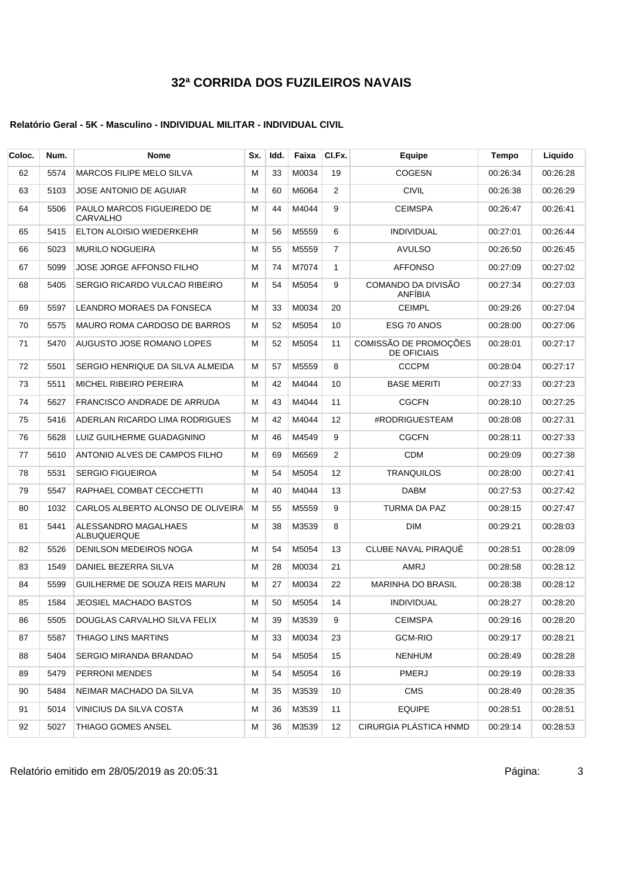### **Relatório Geral - 5K - Masculino - INDIVIDUAL MILITAR - INDIVIDUAL CIVIL**

| Coloc. | Num. | Nome                                       | Sx. | Idd. | Faixa | CI.Fx.            | Equipe                                      | Tempo    | Liquido  |
|--------|------|--------------------------------------------|-----|------|-------|-------------------|---------------------------------------------|----------|----------|
| 62     | 5574 | <b>MARCOS FILIPE MELO SILVA</b>            | M   | 33   | M0034 | 19                | <b>COGESN</b>                               | 00:26:34 | 00:26:28 |
| 63     | 5103 | JOSE ANTONIO DE AGUIAR                     | М   | 60   | M6064 | 2                 | <b>CIVIL</b>                                | 00:26:38 | 00:26:29 |
| 64     | 5506 | PAULO MARCOS FIGUEIREDO DE<br>CARVALHO     | М   | 44   | M4044 | 9                 | <b>CEIMSPA</b>                              | 00:26:47 | 00:26:41 |
| 65     | 5415 | ELTON ALOISIO WIEDERKEHR                   | M   | 56   | M5559 | 6                 | <b>INDIVIDUAL</b>                           | 00:27:01 | 00:26:44 |
| 66     | 5023 | <b>MURILO NOGUEIRA</b>                     | M   | 55   | M5559 | $\overline{7}$    | <b>AVULSO</b>                               | 00:26:50 | 00:26:45 |
| 67     | 5099 | JOSE JORGE AFFONSO FILHO                   | М   | 74   | M7074 | 1                 | <b>AFFONSO</b>                              | 00:27:09 | 00:27:02 |
| 68     | 5405 | SERGIO RICARDO VULCAO RIBEIRO              | М   | 54   | M5054 | 9                 | COMANDO DA DIVISÃO<br>ANFIBIA               | 00:27:34 | 00:27:03 |
| 69     | 5597 | LEANDRO MORAES DA FONSECA                  | М   | 33   | M0034 | 20                | <b>CEIMPL</b>                               | 00:29:26 | 00:27:04 |
| 70     | 5575 | MAURO ROMA CARDOSO DE BARROS               | м   | 52   | M5054 | 10                | ESG 70 ANOS                                 | 00:28:00 | 00:27:06 |
| 71     | 5470 | AUGUSTO JOSE ROMANO LOPES                  | М   | 52   | M5054 | 11                | COMISSÃO DE PROMOÇÕES<br><b>DE OFICIAIS</b> | 00:28:01 | 00:27:17 |
| 72     | 5501 | SERGIO HENRIQUE DA SILVA ALMEIDA           | М   | 57   | M5559 | 8                 | <b>CCCPM</b>                                | 00:28:04 | 00:27:17 |
| 73     | 5511 | MICHEL RIBEIRO PEREIRA                     | М   | 42   | M4044 | 10                | <b>BASE MERITI</b>                          | 00:27:33 | 00:27:23 |
| 74     | 5627 | FRANCISCO ANDRADE DE ARRUDA                | м   | 43   | M4044 | 11                | <b>CGCFN</b>                                | 00:28:10 | 00:27:25 |
| 75     | 5416 | ADERLAN RICARDO LIMA RODRIGUES             | м   | 42   | M4044 | 12                | #RODRIGUESTEAM                              | 00:28:08 | 00:27:31 |
| 76     | 5628 | LUIZ GUILHERME GUADAGNINO                  | М   | 46   | M4549 | 9                 | <b>CGCFN</b>                                | 00:28:11 | 00:27:33 |
| 77     | 5610 | ANTONIO ALVES DE CAMPOS FILHO              | М   | 69   | M6569 | 2                 | CDM                                         | 00:29:09 | 00:27:38 |
| 78     | 5531 | <b>SERGIO FIGUEIROA</b>                    | М   | 54   | M5054 | $12 \overline{ }$ | <b>TRANQUILOS</b>                           | 00:28:00 | 00:27:41 |
| 79     | 5547 | RAPHAEL COMBAT CECCHETTI                   | м   | 40   | M4044 | 13                | <b>DABM</b>                                 | 00:27:53 | 00:27:42 |
| 80     | 1032 | CARLOS ALBERTO ALONSO DE OLIVEIRA          | М   | 55   | M5559 | 9                 | TURMA DA PAZ                                | 00:28:15 | 00:27:47 |
| 81     | 5441 | ALESSANDRO MAGALHAES<br><b>ALBUQUERQUE</b> | М   | 38   | M3539 | 8                 | <b>DIM</b>                                  | 00:29:21 | 00:28:03 |
| 82     | 5526 | DENILSON MEDEIROS NOGA                     | М   | 54   | M5054 | 13                | CLUBE NAVAL PIRAQUÊ                         | 00:28:51 | 00:28:09 |
| 83     | 1549 | DANIEL BEZERRA SILVA                       | М   | 28   | M0034 | 21                | AMRJ                                        | 00:28:58 | 00:28:12 |
| 84     | 5599 | GUILHERME DE SOUZA REIS MARUN              | М   | 27   | M0034 | 22                | <b>MARINHA DO BRASIL</b>                    | 00:28:38 | 00:28:12 |
| 85     | 1584 | <b>JEOSIEL MACHADO BASTOS</b>              | М   | 50   | M5054 | 14                | <b>INDIVIDUAL</b>                           | 00:28:27 | 00:28:20 |
| 86     | 5505 | DOUGLAS CARVALHO SILVA FELIX               | М   | 39   | M3539 | 9                 | <b>CEIMSPA</b>                              | 00:29:16 | 00:28:20 |
| 87     | 5587 | THIAGO LINS MARTINS                        | M   | 33   | M0034 | 23                | <b>GCM-RIO</b>                              | 00:29:17 | 00:28:21 |
| 88     | 5404 | SERGIO MIRANDA BRANDAO                     | м   | 54   | M5054 | 15                | <b>NENHUM</b>                               | 00:28:49 | 00:28:28 |
| 89     | 5479 | PERRONI MENDES                             | M   | 54   | M5054 | 16                | PMERJ                                       | 00:29:19 | 00:28:33 |
| 90     | 5484 | NEIMAR MACHADO DA SILVA                    | M   | 35   | M3539 | 10                | <b>CMS</b>                                  | 00:28:49 | 00:28:35 |
| 91     | 5014 | VINICIUS DA SILVA COSTA                    | м   | 36   | M3539 | 11                | <b>EQUIPE</b>                               | 00:28:51 | 00:28:51 |
| 92     | 5027 | THIAGO GOMES ANSEL                         | м   | 36   | M3539 | 12                | CIRURGIA PLÁSTICA HNMD                      | 00:29:14 | 00:28:53 |

Relatório emitido em 28/05/2019 as 20:05:31 <br>
3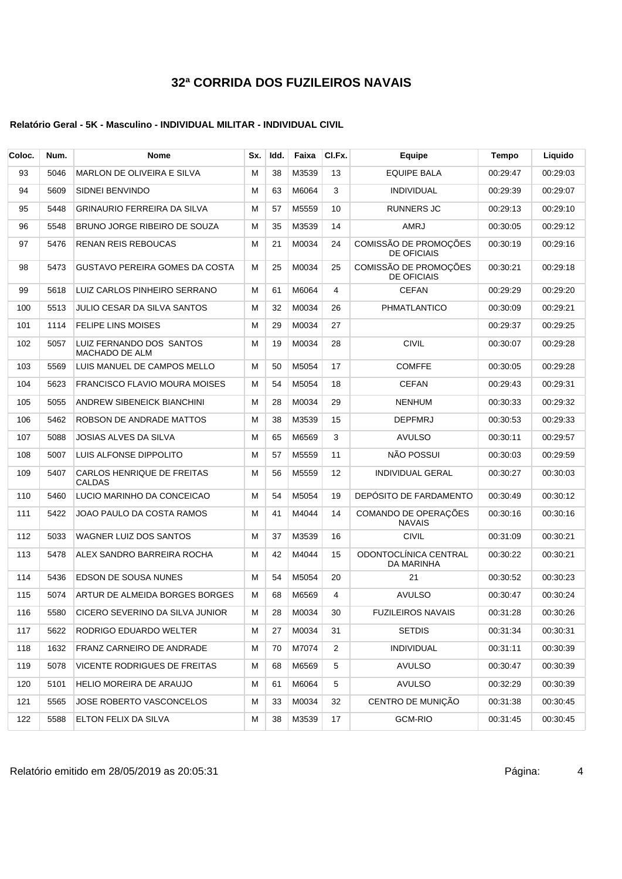| Coloc. | Num. | Nome                                              | Sx. | Idd. | Faixa | CI.Fx.         | Equipe                                      | Tempo    | Liquido  |
|--------|------|---------------------------------------------------|-----|------|-------|----------------|---------------------------------------------|----------|----------|
| 93     | 5046 | <b>MARLON DE OLIVEIRA E SILVA</b>                 | M   | 38   | M3539 | 13             | <b>EQUIPE BALA</b>                          | 00:29:47 | 00:29:03 |
| 94     | 5609 | SIDNEI BENVINDO                                   | M   | 63   | M6064 | 3              | <b>INDIVIDUAL</b>                           | 00:29:39 | 00:29:07 |
| 95     | 5448 | <b>GRINAURIO FERREIRA DA SILVA</b>                | M   | 57   | M5559 | 10             | RUNNERS JC                                  | 00:29:13 | 00:29:10 |
| 96     | 5548 | BRUNO JORGE RIBEIRO DE SOUZA                      | М   | 35   | M3539 | 14             | <b>AMRJ</b>                                 | 00:30:05 | 00:29:12 |
| 97     | 5476 | <b>RENAN REIS REBOUCAS</b>                        | M   | 21   | M0034 | 24             | COMISSÃO DE PROMOÇÕES<br><b>DE OFICIAIS</b> | 00:30:19 | 00:29:16 |
| 98     | 5473 | <b>GUSTAVO PEREIRA GOMES DA COSTA</b>             | M   | 25   | M0034 | 25             | COMISSÃO DE PROMOÇÕES<br><b>DE OFICIAIS</b> | 00:30:21 | 00:29:18 |
| 99     | 5618 | LUIZ CARLOS PINHEIRO SERRANO                      | М   | 61   | M6064 | 4              | <b>CEFAN</b>                                | 00:29:29 | 00:29:20 |
| 100    | 5513 | JULIO CESAR DA SILVA SANTOS                       | M   | 32   | M0034 | 26             | PHMATLANTICO                                | 00:30:09 | 00:29:21 |
| 101    | 1114 | <b>FELIPE LINS MOISES</b>                         | M   | 29   | M0034 | 27             |                                             | 00:29:37 | 00:29:25 |
| 102    | 5057 | LUIZ FERNANDO DOS SANTOS<br><b>MACHADO DE ALM</b> | M   | 19   | M0034 | 28             | <b>CIVIL</b>                                | 00:30:07 | 00:29:28 |
| 103    | 5569 | LUIS MANUEL DE CAMPOS MELLO                       | М   | 50   | M5054 | 17             | <b>COMFFE</b>                               | 00:30:05 | 00:29:28 |
| 104    | 5623 | <b>FRANCISCO FLAVIO MOURA MOISES</b>              | М   | 54   | M5054 | 18             | <b>CEFAN</b>                                | 00:29:43 | 00:29:31 |
| 105    | 5055 | ANDREW SIBENEICK BIANCHINI                        | м   | 28   | M0034 | 29             | <b>NENHUM</b>                               | 00:30:33 | 00:29:32 |
| 106    | 5462 | ROBSON DE ANDRADE MATTOS                          | M   | 38   | M3539 | 15             | <b>DEPFMRJ</b>                              | 00:30:53 | 00:29:33 |
| 107    | 5088 | JOSIAS ALVES DA SILVA                             | M   | 65   | M6569 | 3              | <b>AVULSO</b>                               | 00:30:11 | 00:29:57 |
| 108    | 5007 | LUIS ALFONSE DIPPOLITO                            | M   | 57   | M5559 | 11             | NÃO POSSUI                                  | 00:30:03 | 00:29:59 |
| 109    | 5407 | CARLOS HENRIQUE DE FREITAS<br><b>CALDAS</b>       | M   | 56   | M5559 | 12             | <b>INDIVIDUAL GERAL</b>                     | 00:30:27 | 00:30:03 |
| 110    | 5460 | LUCIO MARINHO DA CONCEICAO                        | М   | 54   | M5054 | 19             | DEPÓSITO DE FARDAMENTO                      | 00:30:49 | 00:30:12 |
| 111    | 5422 | JOAO PAULO DA COSTA RAMOS                         | M   | 41   | M4044 | 14             | COMANDO DE OPERAÇÕES<br><b>NAVAIS</b>       | 00:30:16 | 00:30:16 |
| 112    | 5033 | WAGNER LUIZ DOS SANTOS                            | M   | 37   | M3539 | 16             | <b>CIVIL</b>                                | 00:31:09 | 00:30:21 |
| 113    | 5478 | ALEX SANDRO BARREIRA ROCHA                        | M   | 42   | M4044 | 15             | ODONTOCLÍNICA CENTRAL<br>DA MARINHA         | 00:30:22 | 00:30:21 |
| 114    | 5436 | EDSON DE SOUSA NUNES                              | м   | 54   | M5054 | 20             | 21                                          | 00:30:52 | 00:30:23 |
| 115    | 5074 | ARTUR DE ALMEIDA BORGES BORGES                    | М   | 68   | M6569 | 4              | <b>AVULSO</b>                               | 00:30:47 | 00:30:24 |
| 116    | 5580 | CICERO SEVERINO DA SILVA JUNIOR                   | M   | 28   | M0034 | 30             | <b>FUZILEIROS NAVAIS</b>                    | 00:31:28 | 00:30:26 |
| 117    | 5622 | RODRIGO EDUARDO WELTER                            | м   | 27   | M0034 | 31             | <b>SETDIS</b>                               | 00:31:34 | 00:30:31 |
| 118    | 1632 | FRANZ CARNEIRO DE ANDRADE                         | M   | 70   | M7074 | $\overline{2}$ | <b>INDIVIDUAL</b>                           | 00:31:11 | 00:30:39 |
| 119    | 5078 | <b>VICENTE RODRIGUES DE FREITAS</b>               | M   | 68   | M6569 | 5              | <b>AVULSO</b>                               | 00:30:47 | 00:30:39 |
| 120    | 5101 | HELIO MOREIRA DE ARAUJO                           | м   | 61   | M6064 | 5              | <b>AVULSO</b>                               | 00:32:29 | 00:30:39 |
| 121    | 5565 | JOSE ROBERTO VASCONCELOS                          | М   | 33   | M0034 | 32             | CENTRO DE MUNIÇÃO                           | 00:31:38 | 00:30:45 |
| 122    | 5588 | ELTON FELIX DA SILVA                              | м   | 38   | M3539 | 17             | <b>GCM-RIO</b>                              | 00:31:45 | 00:30:45 |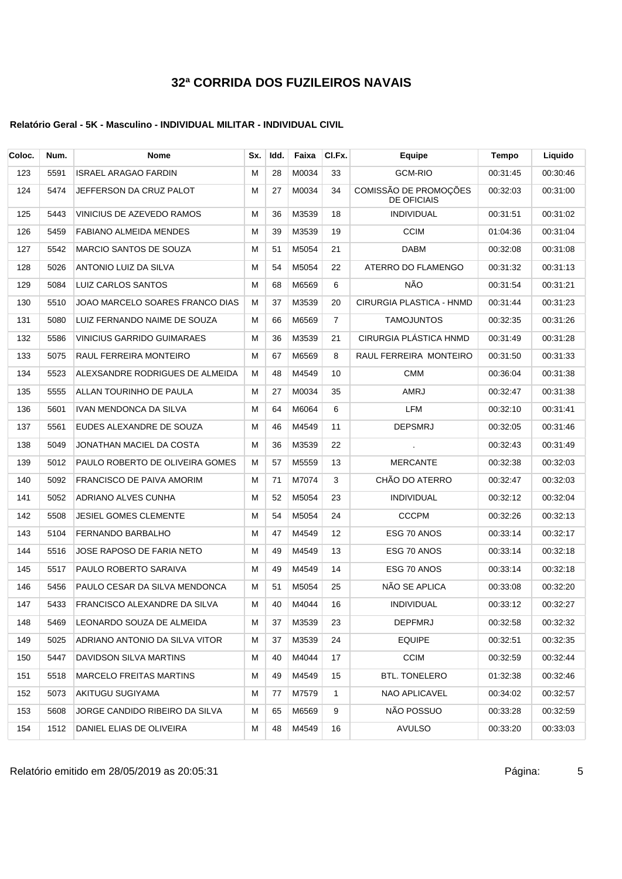### **Relatório Geral - 5K - Masculino - INDIVIDUAL MILITAR - INDIVIDUAL CIVIL**

| Coloc. | Num. | <b>Nome</b>                       | Sx. | Idd. | Faixa | CI.Fx.         | Equipe                                      | Tempo    | Liquido  |
|--------|------|-----------------------------------|-----|------|-------|----------------|---------------------------------------------|----------|----------|
| 123    | 5591 | <b>ISRAEL ARAGAO FARDIN</b>       | М   | 28   | M0034 | 33             | <b>GCM-RIO</b>                              | 00:31:45 | 00:30:46 |
| 124    | 5474 | JEFFERSON DA CRUZ PALOT           | М   | 27   | M0034 | 34             | COMISSÃO DE PROMOÇÕES<br><b>DE OFICIAIS</b> | 00:32:03 | 00:31:00 |
| 125    | 5443 | VINICIUS DE AZEVEDO RAMOS         | M   | 36   | M3539 | 18             | <b>INDIVIDUAL</b>                           | 00:31:51 | 00:31:02 |
| 126    | 5459 | <b>FABIANO ALMEIDA MENDES</b>     | М   | 39   | M3539 | 19             | <b>CCIM</b>                                 | 01:04:36 | 00:31:04 |
| 127    | 5542 | MARCIO SANTOS DE SOUZA            | М   | 51   | M5054 | 21             | <b>DABM</b>                                 | 00:32:08 | 00:31:08 |
| 128    | 5026 | ANTONIO LUIZ DA SILVA             | М   | 54   | M5054 | 22             | ATERRO DO FLAMENGO                          | 00:31:32 | 00:31:13 |
| 129    | 5084 | LUIZ CARLOS SANTOS                | М   | 68   | M6569 | 6              | NÃO                                         | 00:31:54 | 00:31:21 |
| 130    | 5510 | JOAO MARCELO SOARES FRANCO DIAS   | м   | 37   | M3539 | 20             | CIRURGIA PLASTICA - HNMD                    | 00:31:44 | 00:31:23 |
| 131    | 5080 | LUIZ FERNANDO NAIME DE SOUZA      | М   | 66   | M6569 | $\overline{7}$ | <b>TAMOJUNTOS</b>                           | 00:32:35 | 00:31:26 |
| 132    | 5586 | <b>VINICIUS GARRIDO GUIMARAES</b> | М   | 36   | M3539 | 21             | CIRURGIA PLÁSTICA HNMD                      | 00:31:49 | 00:31:28 |
| 133    | 5075 | RAUL FERREIRA MONTEIRO            | М   | 67   | M6569 | 8              | RAUL FERREIRA MONTEIRO                      | 00:31:50 | 00:31:33 |
| 134    | 5523 | ALEXSANDRE RODRIGUES DE ALMEIDA   | М   | 48   | M4549 | 10             | <b>CMM</b>                                  | 00:36:04 | 00:31:38 |
| 135    | 5555 | ALLAN TOURINHO DE PAULA           | м   | 27   | M0034 | 35             | AMRJ                                        | 00:32:47 | 00:31:38 |
| 136    | 5601 | IVAN MENDONCA DA SILVA            | М   | 64   | M6064 | 6              | LFM                                         | 00:32:10 | 00:31:41 |
| 137    | 5561 | EUDES ALEXANDRE DE SOUZA          | М   | 46   | M4549 | 11             | <b>DEPSMRJ</b>                              | 00:32:05 | 00:31:46 |
| 138    | 5049 | JONATHAN MACIEL DA COSTA          | М   | 36   | M3539 | 22             | $\cdot$                                     | 00:32:43 | 00:31:49 |
| 139    | 5012 | PAULO ROBERTO DE OLIVEIRA GOMES   | М   | 57   | M5559 | 13             | <b>MERCANTE</b>                             | 00:32:38 | 00:32:03 |
| 140    | 5092 | FRANCISCO DE PAIVA AMORIM         | М   | 71   | M7074 | 3              | CHÃO DO ATERRO                              | 00:32:47 | 00:32:03 |
| 141    | 5052 | ADRIANO ALVES CUNHA               | М   | 52   | M5054 | 23             | <b>INDIVIDUAL</b>                           | 00:32:12 | 00:32:04 |
| 142    | 5508 | <b>JESIEL GOMES CLEMENTE</b>      | М   | 54   | M5054 | 24             | <b>CCCPM</b>                                | 00:32:26 | 00:32:13 |
| 143    | 5104 | FERNANDO BARBALHO                 | М   | 47   | M4549 | 12             | ESG 70 ANOS                                 | 00:33:14 | 00:32:17 |
| 144    | 5516 | JOSE RAPOSO DE FARIA NETO         | М   | 49   | M4549 | 13             | ESG 70 ANOS                                 | 00:33:14 | 00:32:18 |
| 145    | 5517 | PAULO ROBERTO SARAIVA             | М   | 49   | M4549 | 14             | ESG 70 ANOS                                 | 00:33:14 | 00:32:18 |
| 146    | 5456 | PAULO CESAR DA SILVA MENDONCA     | М   | 51   | M5054 | 25             | NÃO SE APLICA                               | 00:33:08 | 00:32:20 |
| 147    | 5433 | FRANCISCO ALEXANDRE DA SILVA      | м   | 40   | M4044 | 16             | <b>INDIVIDUAL</b>                           | 00:33:12 | 00:32:27 |
| 148    | 5469 | LEONARDO SOUZA DE ALMEIDA         | М   | 37   | M3539 | 23             | <b>DEPFMRJ</b>                              | 00:32:58 | 00:32:32 |
| 149    | 5025 | ADRIANO ANTONIO DA SILVA VITOR    | М   | 37   | M3539 | 24             | <b>EQUIPE</b>                               | 00:32:51 | 00:32:35 |
| 150    | 5447 | DAVIDSON SILVA MARTINS            | М   | 40   | M4044 | 17             | <b>CCIM</b>                                 | 00:32:59 | 00:32:44 |
| 151    | 5518 | <b>MARCELO FREITAS MARTINS</b>    | М   | 49   | M4549 | 15             | BTL. TONELERO                               | 01:32:38 | 00:32:46 |
| 152    | 5073 | AKITUGU SUGIYAMA                  | М   | 77   | M7579 | 1              | <b>NAO APLICAVEL</b>                        | 00:34:02 | 00:32:57 |
| 153    | 5608 | JORGE CANDIDO RIBEIRO DA SILVA    | м   | 65   | M6569 | 9              | NÃO POSSUO                                  | 00:33:28 | 00:32:59 |
| 154    | 1512 | DANIEL ELIAS DE OLIVEIRA          | М   | 48   | M4549 | 16             | <b>AVULSO</b>                               | 00:33:20 | 00:33:03 |

Relatório emitido em 28/05/2019 as 20:05:31 componentes and the components of the Página: 5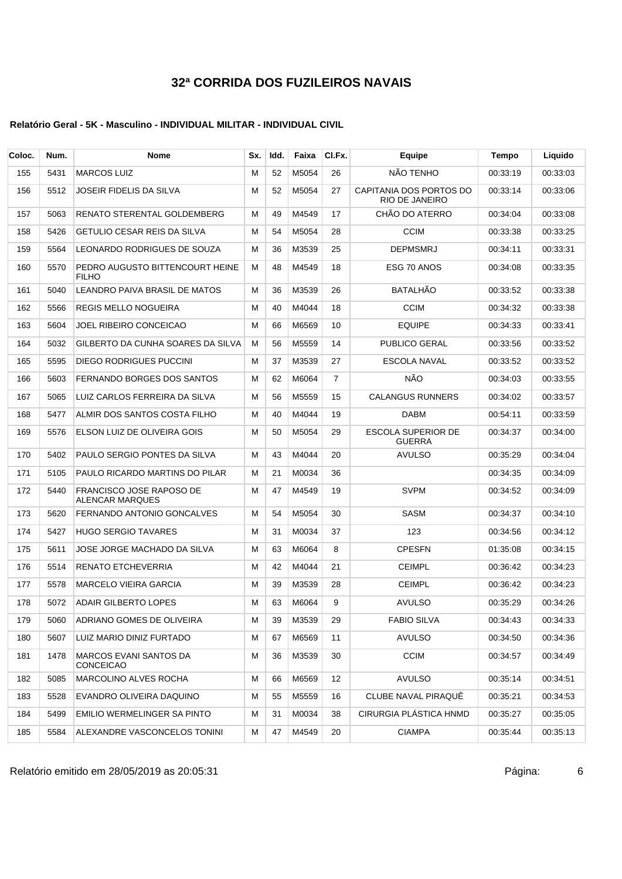### **Relatório Geral - 5K - Masculino - INDIVIDUAL MILITAR - INDIVIDUAL CIVIL**

| Coloc. | Num. | <b>Nome</b>                                               | Sx. | Idd. | Faixa | CI.Fx.         | <b>Equipe</b>                                    | Tempo    | Liquido  |
|--------|------|-----------------------------------------------------------|-----|------|-------|----------------|--------------------------------------------------|----------|----------|
| 155    | 5431 | <b>MARCOS LUIZ</b>                                        | M   | 52   | M5054 | 26             | NÃO TENHO                                        | 00:33:19 | 00:33:03 |
| 156    | 5512 | JOSEIR FIDELIS DA SILVA                                   | M   | 52   | M5054 | 27             | CAPITANIA DOS PORTOS DO<br><b>RIO DE JANEIRO</b> | 00:33:14 | 00:33:06 |
| 157    | 5063 | RENATO STERENTAL GOLDEMBERG                               | м   | 49   | M4549 | 17             | CHÃO DO ATERRO                                   | 00:34:04 | 00:33:08 |
| 158    | 5426 | GETULIO CESAR REIS DA SILVA                               | м   | 54   | M5054 | 28             | <b>CCIM</b>                                      | 00:33:38 | 00:33:25 |
| 159    | 5564 | LEONARDO RODRIGUES DE SOUZA                               | м   | 36   | M3539 | 25             | <b>DEPMSMRJ</b>                                  | 00:34:11 | 00:33:31 |
| 160    | 5570 | PEDRO AUGUSTO BITTENCOURT HEINE<br><b>FILHO</b>           | м   | 48   | M4549 | 18             | ESG 70 ANOS                                      | 00:34:08 | 00:33:35 |
| 161    | 5040 | LEANDRO PAIVA BRASIL DE MATOS                             | м   | 36   | M3539 | 26             | <b>BATALHÃO</b>                                  | 00:33:52 | 00:33:38 |
| 162    | 5566 | REGIS MELLO NOGUEIRA                                      | м   | 40   | M4044 | 18             | <b>CCIM</b>                                      | 00:34:32 | 00:33:38 |
| 163    | 5604 | JOEL RIBEIRO CONCEICAO                                    | м   | 66   | M6569 | 10             | <b>EQUIPE</b>                                    | 00:34:33 | 00:33:41 |
| 164    | 5032 | GILBERTO DA CUNHA SOARES DA SILVA                         | м   | 56   | M5559 | 14             | <b>PUBLICO GERAL</b>                             | 00:33:56 | 00:33:52 |
| 165    | 5595 | DIEGO RODRIGUES PUCCINI                                   | М   | 37   | M3539 | 27             | ESCOLA NAVAL                                     | 00:33:52 | 00:33:52 |
| 166    | 5603 | FERNANDO BORGES DOS SANTOS                                | м   | 62   | M6064 | $\overline{7}$ | NÃO                                              | 00:34:03 | 00:33:55 |
| 167    | 5065 | LUIZ CARLOS FERREIRA DA SILVA                             | м   | 56   | M5559 | 15             | <b>CALANGUS RUNNERS</b>                          | 00:34:02 | 00:33:57 |
| 168    | 5477 | ALMIR DOS SANTOS COSTA FILHO                              | м   | 40   | M4044 | 19             | <b>DABM</b>                                      | 00:54:11 | 00:33:59 |
| 169    | 5576 | ELSON LUIZ DE OLIVEIRA GOIS                               | М   | 50   | M5054 | 29             | <b>ESCOLA SUPERIOR DE</b><br><b>GUERRA</b>       | 00:34:37 | 00:34:00 |
| 170    | 5402 | PAULO SERGIO PONTES DA SILVA                              | м   | 43   | M4044 | 20             | <b>AVULSO</b>                                    | 00:35:29 | 00:34:04 |
| 171    | 5105 | PAULO RICARDO MARTINS DO PILAR                            | м   | 21   | M0034 | 36             |                                                  | 00:34:35 | 00:34:09 |
| 172    | 5440 | <b>FRANCISCO JOSE RAPOSO DE</b><br><b>ALENCAR MARQUES</b> | м   | 47   | M4549 | 19             | <b>SVPM</b>                                      | 00:34:52 | 00:34:09 |
| 173    | 5620 | FERNANDO ANTONIO GONCALVES                                | м   | 54   | M5054 | 30             | SASM                                             | 00:34:37 | 00:34:10 |
| 174    | 5427 | <b>HUGO SERGIO TAVARES</b>                                | м   | 31   | M0034 | 37             | 123                                              | 00:34:56 | 00:34:12 |
| 175    | 5611 | JOSE JORGE MACHADO DA SILVA                               | м   | 63   | M6064 | 8              | <b>CPESFN</b>                                    | 01:35:08 | 00:34:15 |
| 176    | 5514 | <b>RENATO ETCHEVERRIA</b>                                 | м   | 42   | M4044 | 21             | <b>CEIMPL</b>                                    | 00:36:42 | 00:34:23 |
| 177    | 5578 | <b>MARCELO VIEIRA GARCIA</b>                              | М   | 39   | M3539 | 28             | <b>CEIMPL</b>                                    | 00:36:42 | 00:34:23 |
| 178    | 5072 | <b>ADAIR GILBERTO LOPES</b>                               | м   | 63   | M6064 | 9              | <b>AVULSO</b>                                    | 00:35:29 | 00:34:26 |
| 179    | 5060 | ADRIANO GOMES DE OLIVEIRA                                 | м   | 39   | M3539 | 29             | <b>FABIO SILVA</b>                               | 00:34:43 | 00:34:33 |
| 180    | 5607 | LUIZ MARIO DINIZ FURTADO                                  | м   | 67   | M6569 | 11             | <b>AVULSO</b>                                    | 00:34:50 | 00:34:36 |
| 181    | 1478 | MARCOS EVANI SANTOS DA<br><b>CONCEICAO</b>                | м   | 36   | M3539 | 30             | <b>CCIM</b>                                      | 00:34:57 | 00:34:49 |
| 182    | 5085 | <b>MARCOLINO ALVES ROCHA</b>                              | м   | 66   | M6569 | 12             | <b>AVULSO</b>                                    | 00:35:14 | 00:34:51 |
| 183    | 5528 | EVANDRO OLIVEIRA DAQUINO                                  | м   | 55   | M5559 | 16             | CLUBE NAVAL PIRAQUE                              | 00:35:21 | 00:34:53 |
| 184    | 5499 | EMILIO WERMELINGER SA PINTO                               | м   | 31   | M0034 | 38             | CIRURGIA PLÁSTICA HNMD                           | 00:35:27 | 00:35:05 |
| 185    | 5584 | ALEXANDRE VASCONCELOS TONINI                              | м   | 47   | M4549 | 20             | <b>CIAMPA</b>                                    | 00:35:44 | 00:35:13 |

Relatório emitido em 28/05/2019 as 20:05:31 Página: 6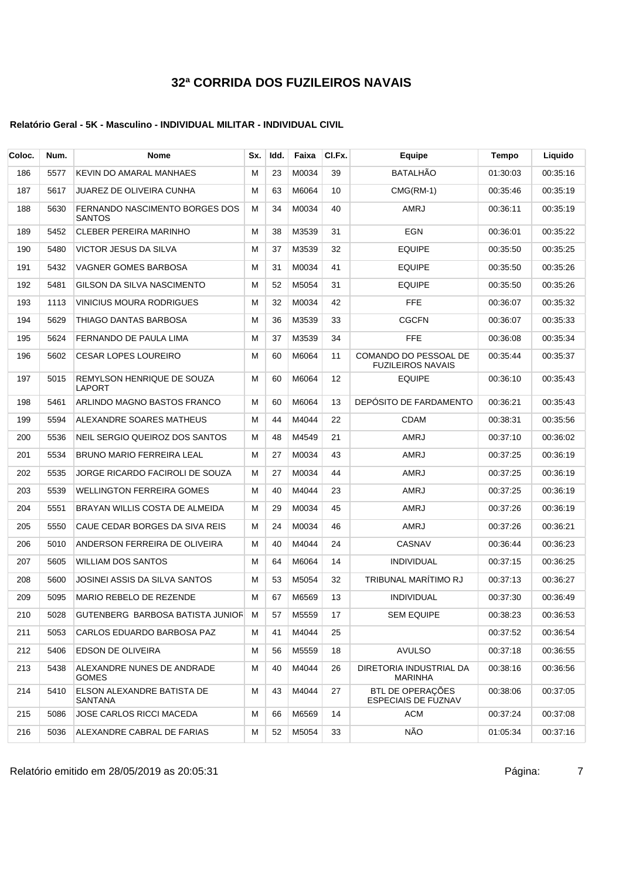### **Relatório Geral - 5K - Masculino - INDIVIDUAL MILITAR - INDIVIDUAL CIVIL**

| Coloc. | Num. | <b>Nome</b>                                     | Sx. | Idd. | Faixa    | CI.Fx. | Equipe                                            | <b>Tempo</b> | Liquido  |
|--------|------|-------------------------------------------------|-----|------|----------|--------|---------------------------------------------------|--------------|----------|
| 186    | 5577 | KEVIN DO AMARAL MANHAES                         | M   | 23   | M0034    | 39     | BATALHÃO                                          | 01:30:03     | 00:35:16 |
| 187    | 5617 | JUAREZ DE OLIVEIRA CUNHA                        | М   | 63   | M6064    | 10     | $CMG(RM-1)$                                       | 00:35:46     | 00:35:19 |
| 188    | 5630 | FERNANDO NASCIMENTO BORGES DOS<br><b>SANTOS</b> | м   | 34   | M0034    | 40     | <b>AMRJ</b>                                       | 00:36:11     | 00:35:19 |
| 189    | 5452 | <b>CLEBER PEREIRA MARINHO</b>                   | М   | 38   | M3539    | 31     | <b>EGN</b>                                        | 00:36:01     | 00:35:22 |
| 190    | 5480 | VICTOR JESUS DA SILVA                           | M   | 37   | M3539    | 32     | <b>EQUIPE</b>                                     | 00:35:50     | 00:35:25 |
| 191    | 5432 | VAGNER GOMES BARBOSA                            | M   | 31   | M0034    | 41     | <b>EQUIPE</b>                                     | 00:35:50     | 00:35:26 |
| 192    | 5481 | GILSON DA SILVA NASCIMENTO                      | м   | 52   | M5054    | 31     | <b>EQUIPE</b>                                     | 00:35:50     | 00:35:26 |
| 193    | 1113 | VINICIUS MOURA RODRIGUES                        | м   | 32   | M0034    | 42     | <b>FFE</b>                                        | 00:36:07     | 00:35:32 |
| 194    | 5629 | THIAGO DANTAS BARBOSA                           | M   | 36   | M3539    | 33     | <b>CGCFN</b>                                      | 00:36:07     | 00:35:33 |
| 195    | 5624 | FERNANDO DE PAULA LIMA                          | M   | 37   | M3539    | 34     | <b>FFE</b>                                        | 00:36:08     | 00:35:34 |
| 196    | 5602 | <b>CESAR LOPES LOUREIRO</b>                     | M   | 60   | M6064    | 11     | COMANDO DO PESSOAL DE<br><b>FUZILEIROS NAVAIS</b> | 00:35:44     | 00:35:37 |
| 197    | 5015 | REMYLSON HENRIQUE DE SOUZA<br>LAPORT            | M   | 60   | M6064    | 12     | <b>EQUIPE</b>                                     | 00:36:10     | 00:35:43 |
| 198    | 5461 | ARLINDO MAGNO BASTOS FRANCO                     | м   | 60   | M6064    | 13     | DEPÓSITO DE FARDAMENTO                            | 00:36:21     | 00:35:43 |
| 199    | 5594 | ALEXANDRE SOARES MATHEUS                        | М   | 44   | M4044    | 22     | <b>CDAM</b>                                       | 00:38:31     | 00:35:56 |
| 200    | 5536 | NEIL SERGIO QUEIROZ DOS SANTOS                  | м   | 48   | M4549    | 21     | <b>AMRJ</b>                                       | 00:37:10     | 00:36:02 |
| 201    | 5534 | <b>BRUNO MARIO FERREIRA LEAL</b>                | м   | 27   | M0034    | 43     | AMRJ                                              | 00:37:25     | 00:36:19 |
| 202    | 5535 | JORGE RICARDO FACIROLI DE SOUZA                 | М   | 27   | M0034    | 44     | AMRJ                                              | 00:37:25     | 00:36:19 |
| 203    | 5539 | <b>WELLINGTON FERREIRA GOMES</b>                | м   | 40   | M4044    | 23     | <b>AMRJ</b>                                       | 00:37:25     | 00:36:19 |
| 204    | 5551 | BRAYAN WILLIS COSTA DE ALMEIDA                  | м   | 29   | M0034    | 45     | AMRJ                                              | 00:37:26     | 00:36:19 |
| 205    | 5550 | CAUE CEDAR BORGES DA SIVA REIS                  | м   | 24   | M0034    | 46     | AMRJ                                              | 00:37:26     | 00:36:21 |
| 206    | 5010 | ANDERSON FERREIRA DE OLIVEIRA                   | M   | 40   | M4044    | 24     | CASNAV                                            | 00:36:44     | 00:36:23 |
| 207    | 5605 | <b>WILLIAM DOS SANTOS</b>                       | M   | 64   | M6064    | 14     | <b>INDIVIDUAL</b>                                 | 00:37:15     | 00:36:25 |
| 208    | 5600 | JOSINEI ASSIS DA SILVA SANTOS                   | м   | 53   | M5054    | 32     | TRIBUNAL MARÍTIMO RJ                              | 00:37:13     | 00:36:27 |
| 209    | 5095 | MARIO REBELO DE REZENDE                         | м   | 67   | M6569    | 13     | <b>INDIVIDUAL</b>                                 | 00:37:30     | 00:36:49 |
| 210    | 5028 | GUTENBERG BARBOSA BATISTA JUNIOF M              |     |      | 57 M5559 | 17     | <b>SEM EQUIPE</b>                                 | 00:38:23     | 00:36:53 |
| 211    | 5053 | CARLOS EDUARDO BARBOSA PAZ                      | м   | 41   | M4044    | 25     |                                                   | 00:37:52     | 00:36:54 |
| 212    | 5406 | EDSON DE OLIVEIRA                               | M   | 56   | M5559    | 18     | <b>AVULSO</b>                                     | 00:37:18     | 00:36:55 |
| 213    | 5438 | ALEXANDRE NUNES DE ANDRADE<br><b>GOMES</b>      | M   | 40   | M4044    | 26     | DIRETORIA INDUSTRIAL DA<br><b>MARINHA</b>         | 00:38:16     | 00:36:56 |
| 214    | 5410 | ELSON ALEXANDRE BATISTA DE<br>SANTANA           | М   | 43   | M4044    | 27     | BTL DE OPERAÇÕES<br><b>ESPECIAIS DE FUZNAV</b>    | 00:38:06     | 00:37:05 |
| 215    | 5086 | JOSE CARLOS RICCI MACEDA                        | М   | 66   | M6569    | 14     | <b>ACM</b>                                        | 00:37:24     | 00:37:08 |
| 216    | 5036 | ALEXANDRE CABRAL DE FARIAS                      | M   | 52   | M5054    | 33     | NÃO                                               | 01:05:34     | 00:37:16 |

Relatório emitido em 28/05/2019 as 20:05:31 Página: 7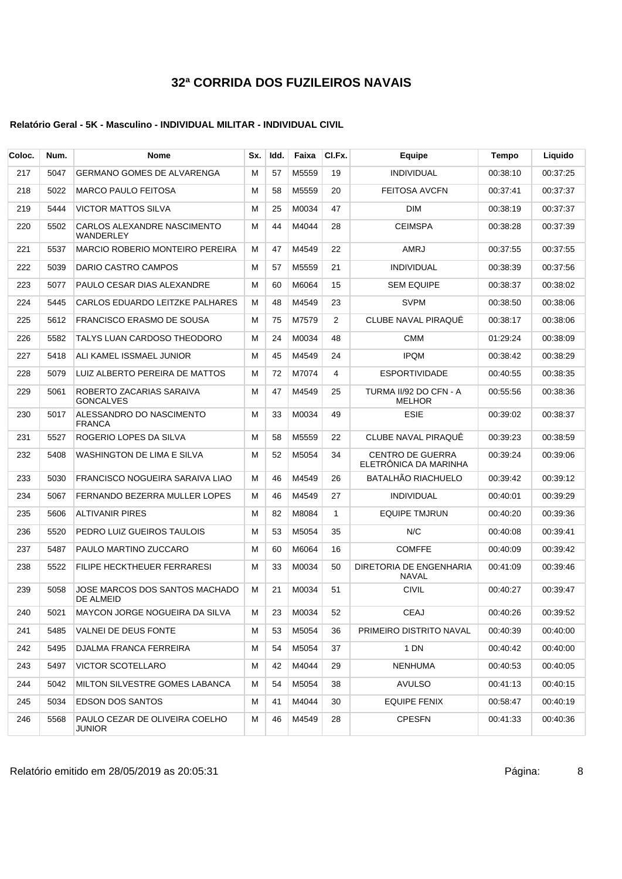| Coloc. | Num. | Nome                                               | Sx. | Idd. | Faixa | CI.Fx.       | Equipe                                           | <b>Tempo</b> | Liquido  |
|--------|------|----------------------------------------------------|-----|------|-------|--------------|--------------------------------------------------|--------------|----------|
| 217    | 5047 | <b>GERMANO GOMES DE ALVARENGA</b>                  | M   | 57   | M5559 | 19           | <b>INDIVIDUAL</b>                                | 00:38:10     | 00:37:25 |
| 218    | 5022 | <b>MARCO PAULO FEITOSA</b>                         | М   | 58   | M5559 | 20           | <b>FEITOSA AVCFN</b>                             | 00:37:41     | 00:37:37 |
| 219    | 5444 | <b>VICTOR MATTOS SILVA</b>                         | м   | 25   | M0034 | 47           | <b>DIM</b>                                       | 00:38:19     | 00:37:37 |
| 220    | 5502 | CARLOS ALEXANDRE NASCIMENTO<br>WANDERLEY           | м   | 44   | M4044 | 28           | <b>CEIMSPA</b>                                   | 00:38:28     | 00:37:39 |
| 221    | 5537 | <b>MARCIO ROBERIO MONTEIRO PEREIRA</b>             | М   | 47   | M4549 | 22           | AMRJ                                             | 00:37:55     | 00:37:55 |
| 222    | 5039 | DARIO CASTRO CAMPOS                                | М   | 57   | M5559 | 21           | <b>INDIVIDUAL</b>                                | 00:38:39     | 00:37:56 |
| 223    | 5077 | PAULO CESAR DIAS ALEXANDRE                         | м   | 60   | M6064 | 15           | <b>SEM EQUIPE</b>                                | 00:38:37     | 00:38:02 |
| 224    | 5445 | CARLOS EDUARDO LEITZKE PALHARES                    | м   | 48   | M4549 | 23           | <b>SVPM</b>                                      | 00:38:50     | 00:38:06 |
| 225    | 5612 | FRANCISCO ERASMO DE SOUSA                          | м   | 75   | M7579 | 2            | <b>CLUBE NAVAL PIRAQUE</b>                       | 00:38:17     | 00:38:06 |
| 226    | 5582 | TALYS LUAN CARDOSO THEODORO                        | м   | 24   | M0034 | 48           | <b>CMM</b>                                       | 01:29:24     | 00:38:09 |
| 227    | 5418 | ALI KAMEL ISSMAEL JUNIOR                           | М   | 45   | M4549 | 24           | <b>IPQM</b>                                      | 00:38:42     | 00:38:29 |
| 228    | 5079 | LUIZ ALBERTO PEREIRA DE MATTOS                     | м   | 72   | M7074 | 4            | <b>ESPORTIVIDADE</b>                             | 00:40:55     | 00:38:35 |
| 229    | 5061 | ROBERTO ZACARIAS SARAIVA<br><b>GONCALVES</b>       | М   | 47   | M4549 | 25           | TURMA II/92 DO CFN - A<br><b>MELHOR</b>          | 00:55:56     | 00:38:36 |
| 230    | 5017 | ALESSANDRO DO NASCIMENTO<br><b>FRANCA</b>          | м   | 33   | M0034 | 49           | <b>ESIE</b>                                      | 00:39:02     | 00:38:37 |
| 231    | 5527 | ROGERIO LOPES DA SILVA                             | М   | 58   | M5559 | 22           | <b>CLUBE NAVAL PIRAQUE</b>                       | 00:39:23     | 00:38:59 |
| 232    | 5408 | WASHINGTON DE LIMA E SILVA                         | М   | 52   | M5054 | 34           | <b>CENTRO DE GUERRA</b><br>ELETRÖNICA DA MARINHA | 00:39:24     | 00:39:06 |
| 233    | 5030 | FRANCISCO NOGUEIRA SARAIVA LIAO                    | м   | 46   | M4549 | 26           | <b>BATALHÃO RIACHUELO</b>                        | 00:39:42     | 00:39:12 |
| 234    | 5067 | FERNANDO BEZERRA MULLER LOPES                      | м   | 46   | M4549 | 27           | <b>INDIVIDUAL</b>                                | 00:40:01     | 00:39:29 |
| 235    | 5606 | <b>ALTIVANIR PIRES</b>                             | м   | 82   | M8084 | $\mathbf{1}$ | <b>EQUIPE TMJRUN</b>                             | 00:40:20     | 00:39:36 |
| 236    | 5520 | PEDRO LUIZ GUEIROS TAULOIS                         | М   | 53   | M5054 | 35           | N/C                                              | 00:40:08     | 00:39:41 |
| 237    | 5487 | PAULO MARTINO ZUCCARO                              | м   | 60   | M6064 | 16           | <b>COMFFE</b>                                    | 00:40:09     | 00:39:42 |
| 238    | 5522 | FILIPE HECKTHEUER FERRARESI                        | М   | 33   | M0034 | 50           | DIRETORIA DE ENGENHARIA<br><b>NAVAL</b>          | 00:41:09     | 00:39:46 |
| 239    | 5058 | JOSE MARCOS DOS SANTOS MACHADO<br><b>DE ALMEID</b> | м   | 21   | M0034 | 51           | <b>CIVIL</b>                                     | 00:40:27     | 00:39:47 |
| 240    | 5021 | MAYCON JORGE NOGUEIRA DA SILVA                     | м   | 23   | M0034 | 52           | CEAJ                                             | 00:40:26     | 00:39:52 |
| 241    | 5485 | VALNEI DE DEUS FONTE                               | м   | 53   | M5054 | 36           | PRIMEIRO DISTRITO NAVAL                          | 00:40:39     | 00:40:00 |
| 242    | 5495 | DJALMA FRANCA FERREIRA                             | м   | 54   | M5054 | 37           | 1 DN                                             | 00:40:42     | 00:40:00 |
| 243    | 5497 | VICTOR SCOTELLARO                                  | Μ   | 42   | M4044 | 29           | <b>NENHUMA</b>                                   | 00:40:53     | 00:40:05 |
| 244    | 5042 | MILTON SILVESTRE GOMES LABANCA                     | M   | 54   | M5054 | 38           | AVULSO                                           | 00:41:13     | 00:40:15 |
| 245    | 5034 | EDSON DOS SANTOS                                   | м   | 41   | M4044 | 30           | <b>EQUIPE FENIX</b>                              | 00:58:47     | 00:40:19 |
| 246    | 5568 | PAULO CEZAR DE OLIVEIRA COELHO<br><b>JUNIOR</b>    | М   | 46   | M4549 | 28           | <b>CPESFN</b>                                    | 00:41:33     | 00:40:36 |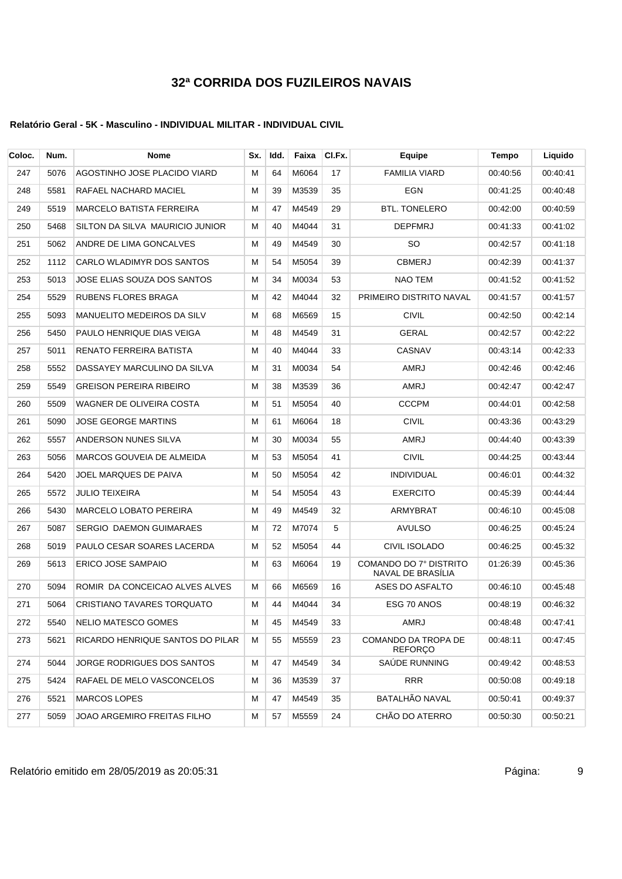| Coloc. | Num. | <b>Nome</b>                      | Sx. | ldd. | Faixa | CI.Fx. | Equipe                                      | Tempo    | Liquido  |
|--------|------|----------------------------------|-----|------|-------|--------|---------------------------------------------|----------|----------|
| 247    | 5076 | AGOSTINHO JOSE PLACIDO VIARD     | М   | 64   | M6064 | 17     | <b>FAMILIA VIARD</b>                        | 00:40:56 | 00:40:41 |
| 248    | 5581 | RAFAEL NACHARD MACIEL            | Μ   | 39   | M3539 | 35     | EGN                                         | 00:41:25 | 00:40:48 |
| 249    | 5519 | <b>MARCELO BATISTA FERREIRA</b>  | м   | 47   | M4549 | 29     | <b>BTL. TONELERO</b>                        | 00:42:00 | 00:40:59 |
| 250    | 5468 | SILTON DA SILVA MAURICIO JUNIOR  | м   | 40   | M4044 | 31     | <b>DEPFMRJ</b>                              | 00:41:33 | 00:41:02 |
| 251    | 5062 | ANDRE DE LIMA GONCALVES          | Μ   | 49   | M4549 | 30     | SO.                                         | 00:42:57 | 00:41:18 |
| 252    | 1112 | CARLO WLADIMYR DOS SANTOS        | Μ   | 54   | M5054 | 39     | <b>CBMERJ</b>                               | 00:42:39 | 00:41:37 |
| 253    | 5013 | JOSE ELIAS SOUZA DOS SANTOS      | М   | 34   | M0034 | 53     | NAO TEM                                     | 00:41:52 | 00:41:52 |
| 254    | 5529 | RUBENS FLORES BRAGA              | Μ   | 42   | M4044 | 32     | PRIMEIRO DISTRITO NAVAL                     | 00:41:57 | 00:41:57 |
| 255    | 5093 | MANUELITO MEDEIROS DA SILV       | Μ   | 68   | M6569 | 15     | <b>CIVIL</b>                                | 00:42:50 | 00:42:14 |
| 256    | 5450 | PAULO HENRIQUE DIAS VEIGA        | м   | 48   | M4549 | 31     | <b>GERAL</b>                                | 00:42:57 | 00:42:22 |
| 257    | 5011 | RENATO FERREIRA BATISTA          | Μ   | 40   | M4044 | 33     | <b>CASNAV</b>                               | 00:43:14 | 00:42:33 |
| 258    | 5552 | DASSAYEY MARCULINO DA SILVA      | М   | 31   | M0034 | 54     | AMRJ                                        | 00:42:46 | 00:42:46 |
| 259    | 5549 | <b>GREISON PEREIRA RIBEIRO</b>   | Μ   | 38   | M3539 | 36     | AMRJ                                        | 00:42:47 | 00:42:47 |
| 260    | 5509 | WAGNER DE OLIVEIRA COSTA         | Μ   | 51   | M5054 | 40     | <b>CCCPM</b>                                | 00:44:01 | 00:42:58 |
| 261    | 5090 | <b>JOSE GEORGE MARTINS</b>       | м   | 61   | M6064 | 18     | <b>CIVIL</b>                                | 00:43:36 | 00:43:29 |
| 262    | 5557 | ANDERSON NUNES SILVA             | м   | 30   | M0034 | 55     | AMRJ                                        | 00:44:40 | 00:43:39 |
| 263    | 5056 | MARCOS GOUVEIA DE ALMEIDA        | М   | 53   | M5054 | 41     | <b>CIVIL</b>                                | 00:44:25 | 00:43:44 |
| 264    | 5420 | JOEL MARQUES DE PAIVA            | М   | 50   | M5054 | 42     | <b>INDIVIDUAL</b>                           | 00:46:01 | 00:44:32 |
| 265    | 5572 | <b>JULIO TEIXEIRA</b>            | М   | 54   | M5054 | 43     | <b>EXERCITO</b>                             | 00:45:39 | 00:44:44 |
| 266    | 5430 | MARCELO LOBATO PEREIRA           | Μ   | 49   | M4549 | 32     | ARMYBRAT                                    | 00:46:10 | 00:45:08 |
| 267    | 5087 | <b>SERGIO DAEMON GUIMARAES</b>   | м   | 72   | M7074 | 5      | <b>AVULSO</b>                               | 00:46:25 | 00:45:24 |
| 268    | 5019 | PAULO CESAR SOARES LACERDA       | м   | 52   | M5054 | 44     | <b>CIVIL ISOLADO</b>                        | 00:46:25 | 00:45:32 |
| 269    | 5613 | ERICO JOSE SAMPAIO               | м   | 63   | M6064 | 19     | COMANDO DO 7º DISTRITO<br>NAVAL DE BRASILIA | 01:26:39 | 00:45:36 |
| 270    | 5094 | ROMIR DA CONCEICAO ALVES ALVES   | м   | 66   | M6569 | 16     | ASES DO ASFALTO                             | 00:46:10 | 00:45:48 |
| 271    | 5064 | CRISTIANO TAVARES TORQUATO       | М   | 44   | M4044 | 34     | ESG 70 ANOS                                 | 00:48:19 | 00:46:32 |
| 272    | 5540 | <b>NELIO MATESCO GOMES</b>       | Μ   | 45   | M4549 | 33     | AMRJ                                        | 00:48:48 | 00:47:41 |
| 273    | 5621 | RICARDO HENRIQUE SANTOS DO PILAR | М   | 55   | M5559 | 23     | COMANDO DA TROPA DE<br><b>REFORCO</b>       | 00:48:11 | 00:47:45 |
| 274    | 5044 | JORGE RODRIGUES DOS SANTOS       | М   | 47   | M4549 | 34     | SAÚDE RUNNING                               | 00:49:42 | 00:48:53 |
| 275    | 5424 | RAFAEL DE MELO VASCONCELOS       | М   | 36   | M3539 | 37     | <b>RRR</b>                                  | 00:50:08 | 00:49:18 |
| 276    | 5521 | <b>MARCOS LOPES</b>              | Μ   | 47   | M4549 | 35     | <b>BATALHÃO NAVAL</b>                       | 00:50:41 | 00:49:37 |
| 277    | 5059 | JOAO ARGEMIRO FREITAS FILHO      | Μ   | 57   | M5559 | 24     | CHÃO DO ATERRO                              | 00:50:30 | 00:50:21 |